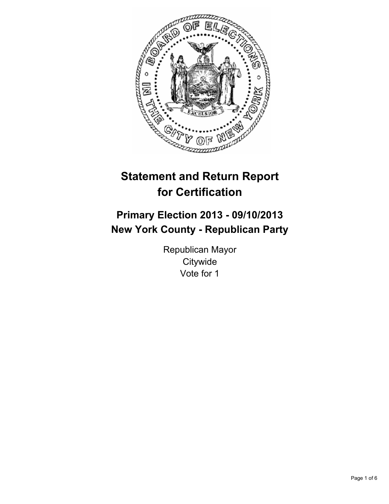

# **Statement and Return Report for Certification**

# **Primary Election 2013 - 09/10/2013 New York County - Republican Party**

Republican Mayor **Citywide** Vote for 1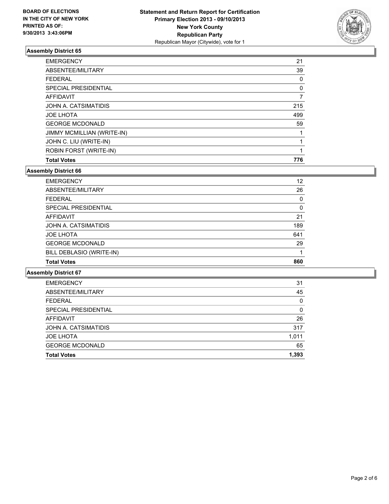

| <b>FEDERAL</b><br>SPECIAL PRESIDENTIAL | 0<br>0 |
|----------------------------------------|--------|
|                                        |        |
| <b>AFFIDAVIT</b>                       | 7      |
| JOHN A. CATSIMATIDIS                   | 215    |
| <b>JOE LHOTA</b>                       | 499    |
| <b>GEORGE MCDONALD</b>                 | 59     |
| JIMMY MCMILLIAN (WRITE-IN)             |        |
| JOHN C. LIU (WRITE-IN)                 |        |
| ROBIN FORST (WRITE-IN)                 |        |
| <b>Total Votes</b>                     | 776    |

## **Assembly District 66**

| <b>EMERGENCY</b>         | 12  |
|--------------------------|-----|
| ABSENTEE/MILITARY        | 26  |
| <b>FEDERAL</b>           | 0   |
| SPECIAL PRESIDENTIAL     | 0   |
| AFFIDAVIT                | 21  |
| JOHN A. CATSIMATIDIS     | 189 |
| <b>JOE LHOTA</b>         | 641 |
| <b>GEORGE MCDONALD</b>   | 29  |
| BILL DEBLASIO (WRITE-IN) |     |
| <b>Total Votes</b>       | 860 |

| <b>Total Votes</b>     | 1.393 |
|------------------------|-------|
| <b>GEORGE MCDONALD</b> | 65    |
| <b>JOE LHOTA</b>       | 1,011 |
| JOHN A. CATSIMATIDIS   | 317   |
| AFFIDAVIT              | 26    |
| SPECIAL PRESIDENTIAL   | 0     |
| <b>FEDERAL</b>         | 0     |
| ABSENTEE/MILITARY      | 45    |
| <b>EMERGENCY</b>       | 31    |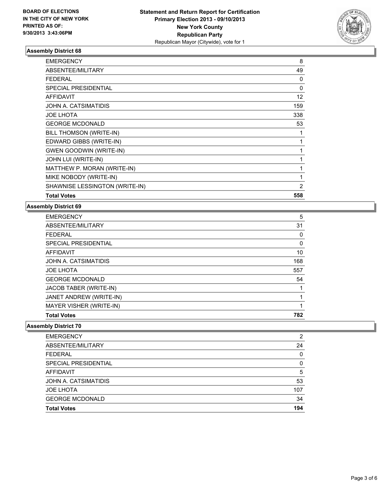

| <b>EMERGENCY</b>               | 8              |
|--------------------------------|----------------|
| ABSENTEE/MILITARY              | 49             |
| FEDERAL                        | 0              |
| <b>SPECIAL PRESIDENTIAL</b>    | 0              |
| <b>AFFIDAVIT</b>               | 12             |
| JOHN A. CATSIMATIDIS           | 159            |
| <b>JOE LHOTA</b>               | 338            |
| <b>GEORGE MCDONALD</b>         | 53             |
| BILL THOMSON (WRITE-IN)        |                |
| EDWARD GIBBS (WRITE-IN)        | 1              |
| <b>GWEN GOODWIN (WRITE-IN)</b> |                |
| JOHN LUI (WRITE-IN)            |                |
| MATTHEW P. MORAN (WRITE-IN)    |                |
| MIKE NOBODY (WRITE-IN)         | 1              |
| SHAWNISE LESSINGTON (WRITE-IN) | $\overline{2}$ |
| <b>Total Votes</b>             | 558            |

## **Assembly District 69**

| <b>EMERGENCY</b>        | 5   |
|-------------------------|-----|
| ABSENTEE/MILITARY       | 31  |
| <b>FEDERAL</b>          | 0   |
| SPECIAL PRESIDENTIAL    | 0   |
| AFFIDAVIT               | 10  |
| JOHN A. CATSIMATIDIS    | 168 |
| <b>JOE LHOTA</b>        | 557 |
| <b>GEORGE MCDONALD</b>  | 54  |
| JACOB TABER (WRITE-IN)  |     |
| JANET ANDREW (WRITE-IN) |     |
| MAYER VISHER (WRITE-IN) |     |
| <b>Total Votes</b>      | 782 |

| <b>Total Votes</b>     | 194 |
|------------------------|-----|
| <b>GEORGE MCDONALD</b> | 34  |
| <b>JOE LHOTA</b>       | 107 |
| JOHN A. CATSIMATIDIS   | 53  |
| AFFIDAVIT              | 5   |
| SPECIAL PRESIDENTIAL   | 0   |
| <b>FEDERAL</b>         | 0   |
| ABSENTEE/MILITARY      | 24  |
| <b>EMERGENCY</b>       | 2   |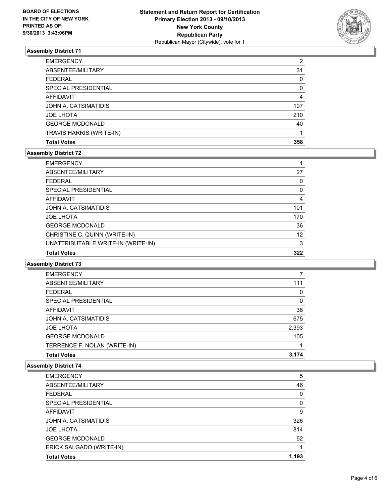

| <b>EMERGENCY</b>         | 2   |
|--------------------------|-----|
| ABSENTEE/MILITARY        | 31  |
| <b>FEDERAL</b>           | 0   |
| SPECIAL PRESIDENTIAL     | 0   |
| AFFIDAVIT                | 4   |
| JOHN A. CATSIMATIDIS     | 107 |
| <b>JOE LHOTA</b>         | 210 |
| <b>GEORGE MCDONALD</b>   | 40  |
| TRAVIS HARRIS (WRITE-IN) |     |
| <b>Total Votes</b>       | 358 |

## **Assembly District 72**

| <b>EMERGENCY</b>                   |     |
|------------------------------------|-----|
| ABSENTEE/MILITARY                  | 27  |
| <b>FEDERAL</b>                     | 0   |
| SPECIAL PRESIDENTIAL               | 0   |
| <b>AFFIDAVIT</b>                   | 4   |
| JOHN A. CATSIMATIDIS               | 101 |
| <b>JOE LHOTA</b>                   | 170 |
| <b>GEORGE MCDONALD</b>             | 36  |
| CHRISTINE C, QUINN (WRITE-IN)      | 12  |
| UNATTRIBUTABLE WRITE-IN (WRITE-IN) | 3   |
| <b>Total Votes</b>                 | 322 |

#### **Assembly District 73**

| <b>EMERGENCY</b>             |       |
|------------------------------|-------|
| ABSENTEE/MILITARY            | 111   |
| <b>FFDFRAL</b>               | 0     |
| SPECIAL PRESIDENTIAL         | 0     |
| AFFIDAVIT                    | 38    |
| JOHN A. CATSIMATIDIS         | 675   |
| <b>JOE LHOTA</b>             | 2,393 |
| <b>GEORGE MCDONALD</b>       | 105   |
| TERRENCE F. NOLAN (WRITE-IN) |       |
| <b>Total Votes</b>           | 3.174 |

| <b>EMERGENCY</b>         | 5        |
|--------------------------|----------|
| ABSENTEE/MILITARY        | 46       |
| <b>FEDERAL</b>           | 0        |
| SPECIAL PRESIDENTIAL     | $\Omega$ |
| AFFIDAVIT                | 9        |
| JOHN A. CATSIMATIDIS     | 326      |
| <b>JOE LHOTA</b>         | 814      |
| <b>GEORGE MCDONALD</b>   | 52       |
| ERICK SALGADO (WRITE-IN) |          |
| <b>Total Votes</b>       | 1.193    |
|                          |          |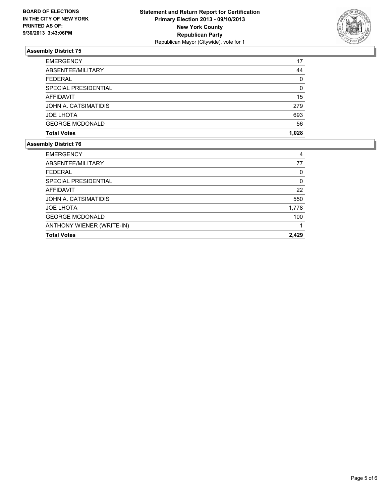

| <b>EMERGENCY</b>       | 17    |
|------------------------|-------|
| ABSENTEE/MILITARY      | 44    |
| <b>FEDERAL</b>         | 0     |
| SPECIAL PRESIDENTIAL   | 0     |
| AFFIDAVIT              | 15    |
| JOHN A. CATSIMATIDIS   | 279   |
| <b>JOE LHOTA</b>       | 693   |
| <b>GEORGE MCDONALD</b> | 56    |
| <b>Total Votes</b>     | 1.028 |

| ANTHONY WIENER (WRITE-IN)<br><b>Total Votes</b> | 2.429 |
|-------------------------------------------------|-------|
|                                                 |       |
| <b>GEORGE MCDONALD</b>                          | 100   |
| <b>JOE LHOTA</b>                                | 1,778 |
| JOHN A. CATSIMATIDIS                            | 550   |
| AFFIDAVIT                                       | 22    |
| SPECIAL PRESIDENTIAL                            | 0     |
| <b>FEDERAL</b>                                  | 0     |
| ABSENTEE/MILITARY                               | 77    |
| <b>EMERGENCY</b>                                | 4     |